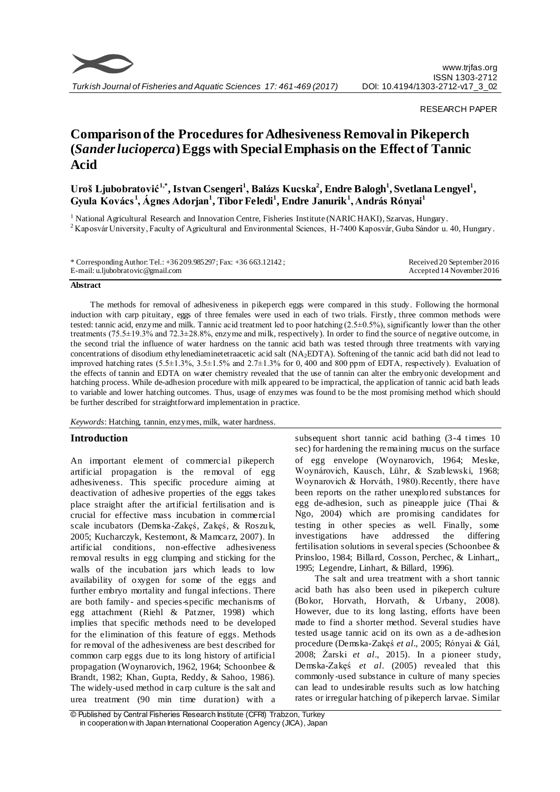

### RESEARCH PAPER

# **Comparison of the Procedures for Adhesiveness Removal in Pikeperch (***Sander lucioperca***) Eggs with Special Emphasis on the Effect of Tannic Acid**

# **Uroš Ljubobratović1,\*, Istvan Csengeri<sup>1</sup> , Balázs Kucska<sup>2</sup> , Endre Balogh<sup>1</sup> , Svetlana Lengyel<sup>1</sup> , Gyula Kovács <sup>1</sup> , Ágnes Adorjan<sup>1</sup> , Tibor Feledi<sup>1</sup> , Endre Janurik<sup>1</sup> , András Rónyai<sup>1</sup>**

<sup>1</sup> National Agricultural Research and Innovation Centre, Fisheries Institute (NARIC HAKI), Szarvas, Hungary. <sup>2</sup> Kaposvár University, Faculty of Agricultural and Environmental Sciences, H-7400 Kaposvár, Guba Sándor u. 40, Hungary.

| * Corresponding Author: Tel.: $+36209.985297$ ; Fax: $+36663.12142$ ; | Received 20 September 2016 |
|-----------------------------------------------------------------------|----------------------------|
| E-mail: u.ljubobratovic@gmail.com                                     | Accepted 14 November 2016  |

#### **Abstract**

The methods for removal of adhesiveness in pikeperch eggs were compared in this study. Following the hormonal induction with carp pituitary, eggs of three females were used in each of two trials. Firstly, three common methods were tested: tannic acid, enzyme and milk. Tannic acid treatment led to poor hatching (2.5±0.5%), significantly lower than the other treatments (75.5±19.3% and 72.3±28.8%, enzyme and milk, respectively). In order to find the source of negative outcome, in the second trial the influence of water hardness on the tannic acid bath was tested through three treatments with varying concentrations of disodium ethylenediaminetetraacetic acid salt (NA2EDTA). Softening of the tannic acid bath did not lead to improved hatching rates (5.5±1.3%, 3.5±1.5% and 2.7±1.3% for 0, 400 and 800 ppm of EDTA, respectively). Evaluation of the effects of tannin and EDTA on water chemistry revealed that the use of tannin can alter the embryonic development and hatching process. While de-adhesion procedure with milk appeared to be impractical, the application of tannic acid bath leads to variable and lower hatching outcomes. Thus, usage of enzymes was found to be the most promising method which should be further described for straightforward implementation in practice.

*Keywords*: Hatching, tannin, enzymes, milk, water hardness.

# **Introduction**

An important element of commercial pikeperch artificial propagation is the removal of egg adhesiveness. This specific procedure aiming at deactivation of adhesive properties of the eggs takes place straight after the artificial fertilisation and is crucial for effective mass incubation in commercial scale incubators (Demska-Zakęś, Zakęś, & Roszuk, 2005; Kucharczyk, Kestemont, & Mamcarz, 2007). In artificial conditions, non-effective adhesiveness removal results in egg clumping and sticking for the walls of the incubation jars which leads to low availability of oxygen for some of the eggs and further embryo mortality and fungal infections. There are both family - and species-specific mechanisms of egg attachment (Riehl & Patzner, 1998) which implies that specific methods need to be developed for the elimination of this feature of eggs. Methods for removal of the adhesiveness are best described for common carp eggs due to its long history of artificial propagation (Woynarovich, 1962, 1964; Schoonbee & Brandt, 1982; Khan, Gupta, Reddy, & Sahoo, 1986). The widely-used method in carp culture is the salt and urea treatment (90 min time duration) with a

subsequent short tannic acid bathing (3-4 times 10 sec) for hardening the remaining mucus on the surface of egg envelope (Woynarovich, 1964; Meske, Woynárovich, Kausch, Lühr, & Szablewski, 1968; Woynarovich & Horváth, 1980).Recently, there have been reports on the rather unexplored substances for egg de-adhesion, such as pineapple juice (Thai & Ngo, 2004) which are promising candidates for testing in other species as well. Finally, some investigations have addressed the differing fertilisation solutions in several species (Schoonbee & Prinsloo, 1984; Billard, Cosson, Perchec, & Linhart,, 1995; Legendre, Linhart, & Billard, 1996).

The salt and urea treatment with a short tannic acid bath has also been used in pikeperch culture (Bokor, Horvath, Horvath, & Urbany, 2008). However, due to its long lasting, efforts have been made to find a shorter method. Several studies have tested usage tannic acid on its own as a de-adhesion procedure (Demska-Zakęś *et al*., 2005; Rónyai & Gál, 2008; Żarski *et al*., 2015). In a pioneer study, Demska-Zakęś *et al*. (2005) revealed that this commonly -used substance in culture of many species can lead to undesirable results such as low hatching rates or irregular hatching of pikeperch larvae. Similar

<sup>©</sup> Published by Central Fisheries Research Institute (CFRI) Trabzon, Turkey in cooperation w ith Japan International Cooperation Agency (JICA), Japan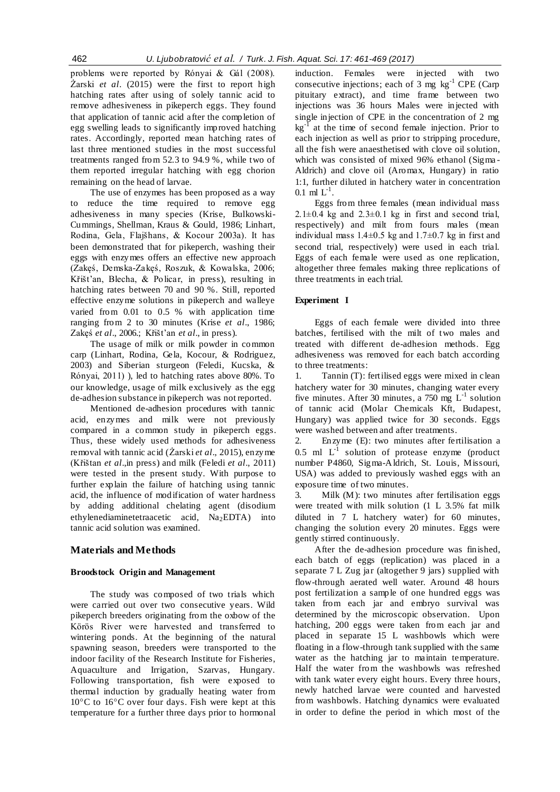problems were reported by Rónyai & Gál (2008). Żarski *et al*. (2015) were the first to report high hatching rates after using of solely tannic acid to remove adhesiveness in pikeperch eggs. They found that application of tannic acid after the completion of egg swelling leads to significantly improved hatching rates. Accordingly, reported mean hatching rates of last three mentioned studies in the most successful treatments ranged from 52.3 to 94.9 %, while two of them reported irregular hatching with egg chorion remaining on the head of larvae.

The use of enzymes has been proposed as a way to reduce the time required to remove egg adhesiveness in many species (Krise, Bulkowski-Cummings, Shellman, Kraus & Gould, 1986; Linhart, Rodina, Gela, Flajšhans, & Kocour 2003a). It has been demonstrated that for pikeperch, washing their eggs with enzymes offers an effective new approach (Zakęś, Demska-Zakęś, Roszuk, & Kowalska, 2006; Křišt'an, Blecha, & Policar, in press), resulting in hatching rates between 70 and 90 %. Still, reported effective enzyme solutions in pikeperch and walleye varied from 0.01 to 0.5 % with application time ranging from 2 to 30 minutes (Krise *et al*., 1986; Zakęś *et al*., 2006.; Křišt'an *et al*., in press).

The usage of milk or milk powder in common carp (Linhart, Rodina, Gela, Kocour, & Rodriguez, 2003) and Siberian sturgeon (Feledi, Kucska, & Rónyai, 2011) ), led to hatching rates above 80%. To our knowledge, usage of milk exclusively as the egg de-adhesion substance in pikeperch was not reported.

Mentioned de-adhesion procedures with tannic acid, enzymes and milk were not previously compared in a common study in pikeperch eggs. Thus, these widely used methods for adhesiveness removal with tannic acid (Żarski *et al*., 2015), enzyme (Křištan *et al*.,in press) and milk (Feledi *et al*., 2011) were tested in the present study. With purpose to further explain the failure of hatching using tannic acid, the influence of modification of water hardness by adding additional chelating agent (disodium ethylenediaminetetraacetic acid,  $Na<sub>2</sub>EDTA$ ) into tannic acid solution was examined.

# **Materials and Methods**

### **Broodstock Origin and Management**

The study was composed of two trials which were carried out over two consecutive years. Wild pikeperch breeders originating from the oxbow of the Körös River were harvested and transferred to wintering ponds. At the beginning of the natural spawning season, breeders were transported to the indoor facility of the Research Institute for Fisheries, Aquaculture and Irrigation, Szarvas, Hungary. Following transportation, fish were exposed to thermal induction by gradually heating water from 10°C to 16°C over four days. Fish were kept at this temperature for a further three days prior to hormonal induction. Females were injected with two consecutive injections; each of  $3 \text{ mg} \text{ kg}^{-1}$  CPE (Carp pituitary extract), and time frame between two injections was 36 hours Males were injected with single injection of CPE in the concentration of 2 mg kg<sup>-I</sup> at the time of second female injection. Prior to each injection as well as prior to stripping procedure, all the fish were anaesthetised with clove oil solution, which was consisted of mixed 96% ethanol (Sigma - Aldrich) and clove oil (Aromax, Hungary) in ratio 1:1, further diluted in hatchery water in concentration  $0.1 \text{ ml } L^{-1}$ .

Eggs from three females (mean individual mass  $2.1\pm0.4$  kg and  $2.3\pm0.1$  kg in first and second trial. respectively) and milt from fours males (mean individual mass  $1.4\pm0.5$  kg and  $1.7\pm0.7$  kg in first and second trial, respectively) were used in each trial. Eggs of each female were used as one replication, altogether three females making three replications of three treatments in each trial.

### **Experiment I**

Eggs of each female were divided into three batches, fertilised with the milt of two males and treated with different de-adhesion methods. Egg adhesiveness was removed for each batch according to three treatments:

1. Tannin (T): fertilised eggs were mixed in clean hatchery water for 30 minutes, changing water every five minutes. After 30 minutes, a 750 mg  $L^{-1}$  solution of tannic acid (Molar Chemicals Kft, Budapest, Hungary) was applied twice for 30 seconds. Eggs were washed between and after treatments.

2. Enzyme (E): two minutes after fertilisation a 0.5 ml  $L^{-1}$  solution of protease enzyme (product number P4860, Sigma-Aldrich, St. Louis, Missouri, USA) was added to previously washed eggs with an exposure time of two minutes.

3. Milk (M): two minutes after fertilisation eggs were treated with milk solution (1 L 3.5% fat milk diluted in 7 L hatchery water) for 60 minutes, changing the solution every 20 minutes. Eggs were gently stirred continuously.

After the de-adhesion procedure was finished, each batch of eggs (replication) was placed in a separate 7 L Zug jar (altogether 9 jars) supplied with flow-through aerated well water. Around 48 hours post fertilization a sample of one hundred eggs was taken from each jar and embryo survival was determined by the microscopic observation. Upon hatching, 200 eggs were taken from each jar and placed in separate 15 L washbowls which were floating in a flow-through tank supplied with the same water as the hatching jar to maintain temperature. Half the water from the washbowls was refreshed with tank water every eight hours. Every three hours, newly hatched larvae were counted and harvested from washbowls. Hatching dynamics were evaluated in order to define the period in which most of the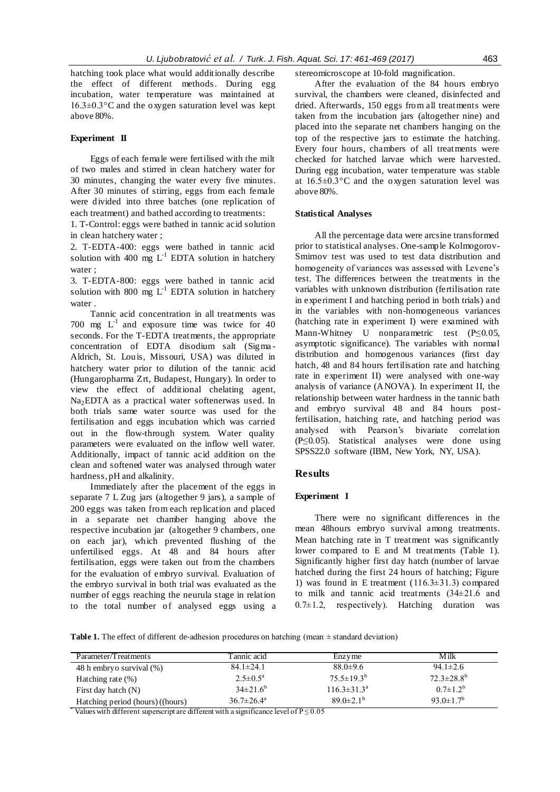hatching took place what would additionally describe the effect of different methods. During egg incubation, water temperature was maintained at 16.3±0.3°C and the oxygen saturation level was kept above 80%.

# **Experiment II**

Eggs of each female were fertilised with the milt of two males and stirred in clean hatchery water for 30 minutes, changing the water every five minutes. After 30 minutes of stirring, eggs from each female were divided into three batches (one replication of each treatment) and bathed according to treatments:

1. T-Control: eggs were bathed in tannic acid solution in clean hatchery water ;

2. T-EDTA-400: eggs were bathed in tannic acid solution with 400 mg  $L^{-1}$  EDTA solution in hatchery water ;

3. T-EDTA-800: eggs were bathed in tannic acid solution with 800 mg  $L^{-1}$  EDTA solution in hatchery water .

Tannic acid concentration in all treatments was 700 mg  $L^{-1}$  and exposure time was twice for 40 seconds. For the T-EDTA treatments, the appropriate concentration of EDTA disodium salt (Sigma - Aldrich, St. Louis, Missouri, USA) was diluted in hatchery water prior to dilution of the tannic acid (Hungaropharma Zrt, Budapest, Hungary). In order to view the effect of additional chelating agent, Na2EDTA as a practical water softenerwas used. In both trials same water source was used for the fertilisation and eggs incubation which was carried out in the flow-through system. Water quality parameters were evaluated on the inflow well water. Additionally, impact of tannic acid addition on the clean and softened water was analysed through water hardness, pH and alkalinity.

Immediately after the placement of the eggs in separate 7 L Zug jars (altogether 9 jars), a sample of 200 eggs was taken from each replication and placed in a separate net chamber hanging above the respective incubation jar (altogether 9 chambers, one on each jar), which prevented flushing of the unfertilised eggs. At 48 and 84 hours after fertilisation, eggs were taken out from the chambers for the evaluation of embryo survival. Evaluation of the embryo survival in both trial was evaluated as the number of eggs reaching the neurula stage in relation to the total number of analysed eggs using a stereomicroscope at 10-fold magnification.

After the evaluation of the 84 hours embryo survival, the chambers were cleaned, disinfected and dried. Afterwards, 150 eggs from all treatments were taken from the incubation jars (altogether nine) and placed into the separate net chambers hanging on the top of the respective jars to estimate the hatching. Every four hours, chambers of all treatments were checked for hatched larvae which were harvested. During egg incubation, water temperature was stable at 16.5±0.3°C and the oxygen saturation level was above 80%.

### **Statistical Analyses**

All the percentage data were arcsine transformed prior to statistical analyses. One-sample Kolmogorov-Smirnov test was used to test data distribution and homogeneity of variances was assessed with Levene's test. The differences between the treatments in the variables with unknown distribution (fertilisation rate in experiment I and hatching period in both trials) and in the variables with non-homogeneous variances (hatching rate in experiment I) were examined with Mann-Whitney U nonparametric test (P≤0.05, asymptotic significance). The variables with normal distribution and homogenous variances (first day hatch, 48 and 84 hours fertilisation rate and hatching rate in experiment II) were analysed with one-way analysis of variance (ANOVA). In experiment II, the relationship between water hardness in the tannic bath and embryo survival 48 and 84 hours postfertilisation, hatching rate, and hatching period was analysed with Pearson's bivariate correlation (P≤0.05). Statistical analyses were done using SPSS22.0 software (IBM, New York, NY, USA).

### **Results**

#### **Experiment I**

There were no significant differences in the mean 48hours embryo survival among treatments. Mean hatching rate in T treatment was significantly lower compared to E and M treatments (Table 1). Significantly higher first day hatch (number of larvae hatched during the first 24 hours of hatching; Figure 1) was found in E treatment  $(116.3±31.3)$  compared to milk and tannic acid treatments (34±21.6 and  $0.7\pm1.2$ , respectively). Hatching duration was

**Table 1.** The effect of different de-adhesion procedures on hatching (mean  $\pm$  standard deviation)

| Parameter/Treatments             | Tannic acid              | Enzyme                   | Milk                        |
|----------------------------------|--------------------------|--------------------------|-----------------------------|
| 48 h embryo survival (%)         | $84.1 \pm 24.1$          | $88.0 \pm 9.6$           | $94.1 \pm 2.6$              |
| Hatching rate $(\%)$             | $2.5 \pm 0.5^{\text{a}}$ | $75.5 \pm 19.3^{\rm b}$  | $72.3 \pm 28.8^b$           |
| First day hatch $(N)$            | $34\pm21.6^b$            | $116.3 \pm 31.3^{\circ}$ | $0.7 \pm 1.2^b$             |
| Hatching period (hours) ((hours) | $36.7 \pm 26.4^{\circ}$  | $89.0 \pm 2.1^{\circ}$   | 93.0 $\pm$ 1.7 <sup>b</sup> |

\* Values with different superscript are different with a significance level of  $P \le 0.05$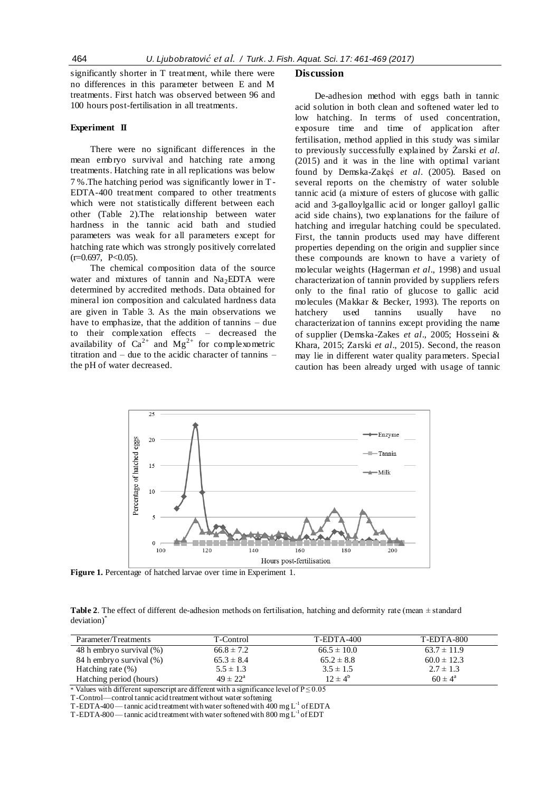significantly shorter in T treatment, while there were no differences in this parameter between E and M treatments. First hatch was observed between 96 and 100 hours post-fertilisation in all treatments.

#### **Experiment II**

There were no significant differences in the mean embryo survival and hatching rate among treatments. Hatching rate in all replications was below 7 %.The hatching period was significantly lower in T-EDTA-400 treatment compared to other treatments which were not statistically different between each other (Table 2).The relationship between water hardness in the tannic acid bath and studied parameters was weak for all parameters except for hatching rate which was strongly positively correlated  $(r=0.697, P<0.05)$ .

The chemical composition data of the source water and mixtures of tannin and  $Na<sub>2</sub>EDTA$  were determined by accredited methods. Data obtained for mineral ion composition and calculated hardness data are given in Table 3. As the main observations we have to emphasize, that the addition of tannins – due to their complexation effects – decreased the availability of  $Ca^{2+}$  and  $Mg^{2+}$  for complexometric titration and – due to the acidic character of tannins – the pH of water decreased.

#### **Discussion**

De-adhesion method with eggs bath in tannic acid solution in both clean and softened water led to low hatching. In terms of used concentration, exposure time and time of application after fertilisation, method applied in this study was similar to previously successfully explained by Żarski *et al.* (2015) and it was in the line with optimal variant found by Demska-Zakęś *et al*. (2005). Based on several reports on the chemistry of water soluble tannic acid (a mixture of esters of glucose with gallic acid and 3-galloylgallic acid or longer galloyl gallic acid side chains), two explanations for the failure of hatching and irregular hatching could be speculated. First, the tannin products used may have different properties depending on the origin and supplier since these compounds are known to have a variety of molecular weights (Hagerman *et al*., 1998) and usual characterization of tannin provided by suppliers refers only to the final ratio of glucose to gallic acid molecules (Makkar & Becker, 1993). The reports on hatchery used tannins usually have no characterization of tannins except providing the name of supplier (Demska -Zakes *et al*., 2005; Hosseini & Khara, 2015; Zarski *et al*., 2015). Second, the reason may lie in different water quality parameters. Special caution has been already urged with usage of tannic



**Figure 1.** Percentage of hatched larvae over time in Experiment 1.

**Table 2**. The effect of different de-adhesion methods on fertilisation, hatching and deformity rate (mean ± standard deviation)<sup>\*</sup>

| Parameter/Treatments     | T-Control           | $T-EDTA-400$    | <b>T-EDTA-800</b>  |
|--------------------------|---------------------|-----------------|--------------------|
| 48 h embryo survival (%) | $66.8 \pm 7.2$      | $66.5 \pm 10.0$ | $63.7 \pm 11.9$    |
| 84 h embryo survival (%) | $65.3 \pm 8.4$      | $65.2 \pm 8.8$  | $60.0 \pm 12.3$    |
| Hatching rate $(\%)$     | $5.5 \pm 1.3$       | $3.5 \pm 1.5$   | $2.7 \pm 1.3$      |
| Hatching period (hours)  | $49 \pm 22^{\circ}$ | $12 \pm 4^b$    | $60 \pm 4^{\rm a}$ |

\* Values with different superscript are different with a significance level of  $P \le 0.05$ 

T-Control—control tannic acid treatment without water softening

T-EDTA-400 — tannic acid treatment with water softened with  $\overline{400}$  mg L<sup>-1</sup> of EDTA

T-EDTA-800—tannic acid treatment with water softened with 800 mg  $L^{-1}$  of EDT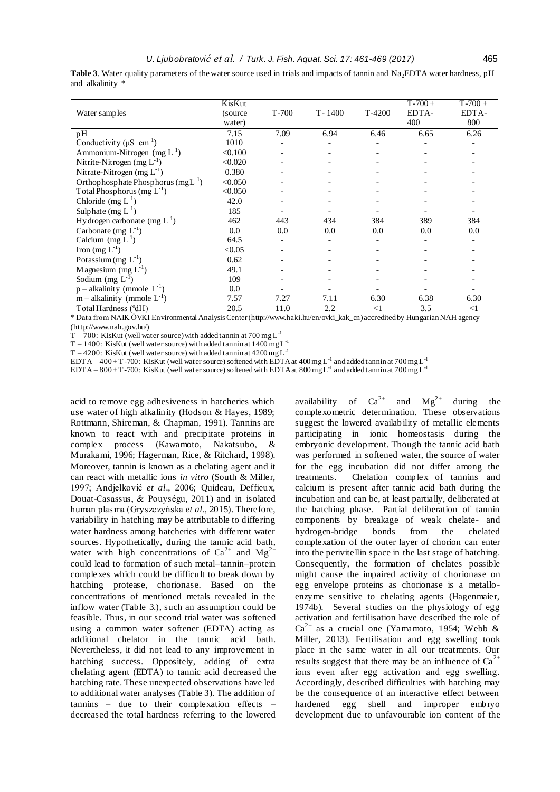Water samples KisKut (source  $\frac{\text{water}}{7.15}$ T-700 T- 1400 T-4200  $T-700+$ EDTA-400  $T-700 +$ EDTA-800 pH 7.15 7.09 6.94 6.46 6.65 6.26 pH<br>Conductivity ( $\mu$ S cm<sup>-1</sup>) ) 1010 - - - - - - - - - -Ammonium-Nitrogen  $(mg L^{-1})$ )  $< 0.100$  - - - - - - - -Nitrite-Nitrogen (mg  $L^{-1}$ ) )  $< 0.020$  - - - - - - - - - -Nitrate-Nitrogen (mg L<sup>-1</sup>) ) 0.380 - - - - - - - - - -Orthophosphate Phosphorus  $(mg L^{-1})$ )  $< 0.050$  - - - - - - - - -Total Phosphorus (mg  $L^{-1}$ ) )  $<0.050$  - - - - - - - - - - -Chloride  $(mg L^{-1})$ ) 42.0 - - - - - Sulphate  $(mg L^{-1})$ ) 185 - - - - - Hydrogen carbonate  $(mg L^{-1})$ ) 462 443 434 384 389 384 Carbonate (mg  $L^{-1}$ )  $(0.0 \t 0.0 \t 0.0 \t 0.0 \t 0.0 \t 0.0 \t 0.0 \t 0.0$ Calcium  $(mg L^{-1})$ ) 64.5 - - - - - Iron (mg  $L^{-1}$ ) )  $<0.05$  - - - - - - - - -Potassium (mg  $L^{-1}$ ) ) 0.62 - - - - - - - - - -Magnesium (mg  $L^{-1}$ ) ) 49.1 - - - - - - - - -Sodium (mg  $L^{-1}$ ) ) 109 - - - - - - - -  $p$  – alkalinity (mmole  $L^{-1}$ ) ) 0.0 - - - - - - - -  $m -$ alkalinity (mmole  $L^{-1}$ ) ) 7.57 7.27 7.11 6.30 6.38 6.30 Total Hardness (ºdH) 20.5 11.0 2.2 <1 3.5 <1

**Table 3**. Water quality parameters of the water source used in trials and impacts of tannin and Na<sub>2</sub>EDTA water hardness, pH and alkalinity \*

\* Data from NAIK ÖVKI Environmental Analysis Center (http://www.haki.hu/en/ovki\_kak\_en) accredited by Hungarian NAH agency (http://www.nah.gov.hu/)

T – 700: KisKut (well water source) with added tannin at 700 mg L<sup>-1</sup>

 $T - 1400$ : KisKut (well water source) with added tannin at  $1400$  mg L<sup>-1</sup>

T – 4200: KisKut (well water source) with added tannin at  $4200 \text{ mg L}^{-1}$ 

 $\rm{EDTA-400+T}$  -700: KisKut (well water source) softened with EDTA at  $400$  mg  $\rm{L}^{1}$  and added tannin at 700 mg  $\rm{L}^{1}$ 

EDTA – 800 + T-700: KisKut (well water source) softened with EDTA at  $800$  mg  $L^{-1}$  and added tannin at  $700$  mg  $L^{-1}$ 

acid to remove egg adhesiveness in hatcheries which use water of high alkalinity (Hodson & Hayes, 1989; Rottmann, Shireman, & Chapman, 1991). Tannins are known to react with and precipitate proteins in complex process (Kawamoto, Nakatsubo, & Murakami, 1996; Hagerman, Rice, & Ritchard, 1998). Moreover, tannin is known as a chelating agent and it can react with metallic ions *in vitro* (South & Miller, 1997; Andjelković *et al*., 2006; Quideau, Deffieux, Douat-Casassus, & Pouységu, 2011) and in isolated human plas ma (Gryszczyńska *et al*., 2015). Therefore, variability in hatching may be attributable to differing water hardness among hatcheries with different water sources. Hypothetically, during the tannic acid bath, water with high concentrations of  $Ca^{2+}$  and  $Mg^{2+}$ could lead to formation of such metal–tannin–protein complexes which could be difficult to break down by hatching protease, chorionase. Based on the concentrations of mentioned metals revealed in the inflow water (Table 3.), such an assumption could be feasible. Thus, in our second trial water was softened using a common water softener (EDTA) acting as additional chelator in the tannic acid bath. Nevertheless, it did not lead to any improvement in hatching success. Oppositely, adding of extra chelating agent (EDTA) to tannic acid decreased the hatching rate. These unexpected observations have led to additional water analyses (Table 3). The addition of tannins – due to their complexation effects – decreased the total hardness referring to the lowered availability of  $Ca^{2+}$  and  $Mg^{2+}$  during the complexometric determination. These observations suggest the lowered availability of metallic elements participating in ionic homeostasis during the embryonic development. Though the tannic acid bath was performed in softened water, the source of water for the egg incubation did not differ among the treatments. Chelation complex of tannins and calcium is present after tannic acid bath during the incubation and can be, at least partially, deliberated at the hatching phase. Partial deliberation of tannin components by breakage of weak chelate- and hydrogen-bridge bonds from the chelated complexation of the outer layer of chorion can enter into the perivitellin space in the last stage of hatching. Consequently, the formation of chelates possible might cause the impaired activity of chorionase on egg envelope proteins as chorionase is a metalloenzyme sensitive to chelating agents (Hagenmaier, 1974b). Several studies on the physiology of egg activation and fertilisation have described the role of  $Ca^{2+}$  as a crucial one (Yamamoto, 1954; Webb & Miller, 2013). Fertilisation and egg swelling took place in the same water in all our treatments. Our results suggest that there may be an influence of  $Ca^{2+}$ ions even after egg activation and egg swelling. Accordingly, described difficulties with hatching may be the consequence of an interactive effect between hardened egg shell and improper embryo development due to unfavourable ion content of the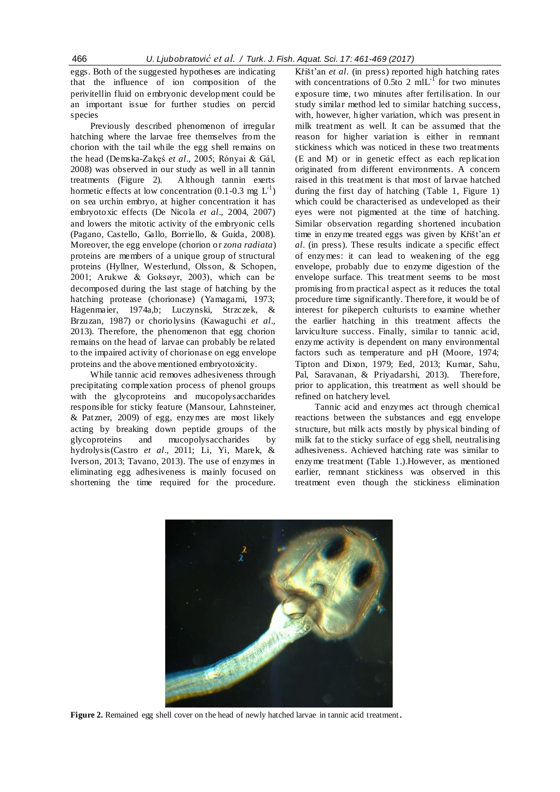eggs. Both of the suggested hypotheses are indicating that the influence of ion composition of the perivitellin fluid on embryonic development could be an important issue for further studies on percid species

Previously described phenomenon of irregular hatching where the larvae free themselves from the chorion with the tail while the egg shell remains on the head (Demska-Zakęś *et al*., 2005; Rónyai & Gál, 2008) was observed in our study as well in all tannin treatments (Figure 2). Although tannin exerts hormetic effects at low concentration (0.1-0.3 mg  $L^{-1}$ ) on sea urchin embryo, at higher concentration it has embryotoxic effects (De Nicola *et al*., 2004, 2007) and lowers the mitotic activity of the embryonic cells (Pagano, Castello, Gallo, Borriello, & Guida, 2008). Moreover, the egg envelope (chorion or *zona radiata*) proteins are members of a unique group of structural proteins (Hyllner, Westerlund, Olsson, & Schopen, 2001; Arukwe & Goksøyr, 2003), which can be decomposed during the last stage of hatching by the hatching protease (chorionase) (Yamagami, 1973; Hagenmaier, 1974a,b; Luczynski, Strzczek, & Brzuzan, 1987) or choriolysins (Kawaguchi *et al*., 2013). Therefore, the phenomenon that egg chorion remains on the head of larvae can probably be related to the impaired activity of chorionase on egg envelope proteins and the above mentioned embryotoxicity.

While tannic acid removes adhesiveness through precipitating complexation process of phenol groups with the glycoproteins and mucopolysaccharides responsible for sticky feature (Mansour, Lahnsteiner, & Patzner, 2009) of egg, enzymes are most likely acting by breaking down peptide groups of the glycoproteins and mucopolysaccharides by hydrolysis(Castro *et al*., 2011; Li, Yi, Marek, & Iverson, 2013; Tavano, 2013). The use of enzymes in eliminating egg adhesiveness is mainly focused on shortening the time required for the procedure.

Křišt'an *et al*. (in press) reported high hatching rates with concentrations of 0.5to 2 mlL<sup>-1</sup> for two minutes exposure time, two minutes after fertilisation. In our study similar method led to similar hatching success, with, however, higher variation, which was present in milk treatment as well. It can be assumed that the reason for higher variation is either in remnant stickiness which was noticed in these two treatments (E and M) or in genetic effect as each replication originated from different environments. A concern raised in this treatment is that most of larvae hatched during the first day of hatching (Table 1, Figure 1) which could be characterised as undeveloped as their eyes were not pigmented at the time of hatching. Similar observation regarding shortened incubation time in enzyme treated eggs was given by Křišt'an *et al*. (in press). These results indicate a specific effect of enzymes: it can lead to weakening of the egg envelope, probably due to enzyme digestion of the envelope surface. This treatment seems to be most promising from practical aspect as it reduces the total procedure time significantly. Therefore, it would be of interest for pikeperch culturists to examine whether the earlier hatching in this treatment affects the larviculture success. Finally, similar to tannic acid, enzyme activity is dependent on many environmental factors such as temperature and pH (Moore, 1974; Tipton and Dixon, 1979; Eed, 2013; Kumar, Sahu, Pal, Saravanan, & Priyadarshi, 2013). Therefore, prior to application, this treatment as well should be refined on hatchery level.

Tannic acid and enzymes act through chemical reactions between the substances and egg envelope structure, but milk acts mostly by physical binding of milk fat to the sticky surface of egg shell, neutralising adhesiveness. Achieved hatching rate was similar to enzyme treatment (Table 1.).However, as mentioned earlier, remnant stickiness was observed in this treatment even though the stickiness elimination



Figure 2. Remained egg shell cover on the head of newly hatched larvae in tannic acid treatment.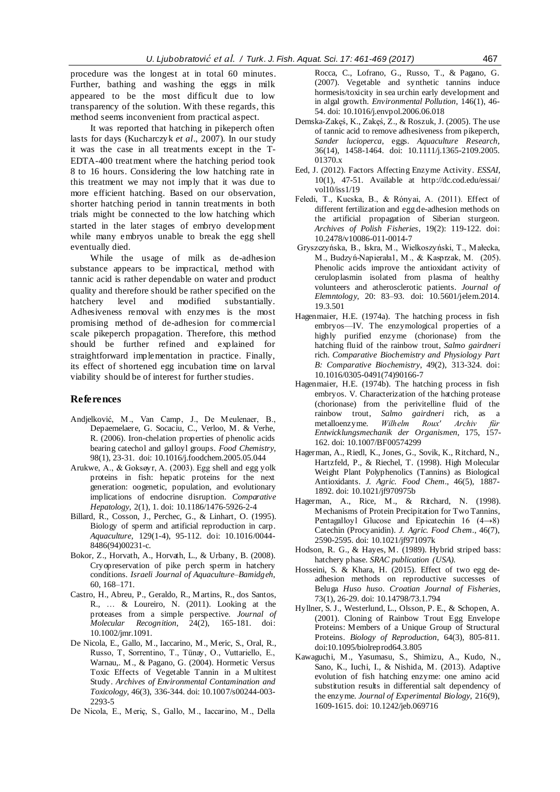procedure was the longest at in total 60 minutes. Further, bathing and washing the eggs in milk appeared to be the most difficult due to low transparency of the solution. With these regards, this method seems inconvenient from practical aspect.

It was reported that hatching in pikeperch often lasts for days (Kucharczyk *et al*., 2007). In our study it was the case in all treatments except in the T-EDTA-400 treatment where the hatching period took 8 to 16 hours. Considering the low hatching rate in this treatment we may not imply that it was due to more efficient hatching. Based on our observation, shorter hatching period in tannin treatments in both trials might be connected to the low hatching which started in the later stages of embryo development while many embryos unable to break the egg shell eventually died.

While the usage of milk as de-adhesion substance appears to be impractical, method with tannic acid is rather dependable on water and product quality and therefore should be rather specified on the hatchery level and modified substantially. Adhesiveness removal with enzymes is the most promising method of de-adhesion for commercial scale pikeperch propagation. Therefore, this method should be further refined and explained for straightforward implementation in practice. Finally, its effect of shortened egg incubation time on larval viability should be of interest for further studies.

### **References**

- Andjelković, M., Van Camp, J., De Meulenaer, B., Depaemelaere, G. Socaciu, C., Verloo, M. & Verhe, R. (2006). Iron-chelation properties of phenolic acids bearing catechol and galloyl groups. *Food Chemistry*, 98(1), 23-31. doi: 10.1016/j.foodchem.2005.05.044
- Arukwe, A., & Goksøyr, A. (2003). Egg shell and egg yolk proteins in fish: hepatic proteins for the next generation: oogenetic, population, and evolutionary implications of endocrine disruption. *Comparative Hepatology*, 2(1), 1. doi: 10.1186/1476-5926-2-4
- Billard, R., Cosson, J., Perchec, G., & Linhart, O. (1995). Biology of sperm and artificial reproduction in carp. *Aquaculture*, 129(1-4), 95-112. doi: 10.1016/0044- 8486(94)00231-c.
- Bokor, Z., Horvath, A., Horvath, L., & Urbany, B. (2008). Cryopreservation of pike perch sperm in hatchery conditions. *Israeli Journal of Aquaculture–Bamidgeh*, 60, 168–171.
- Castro, H., Abreu, P., Geraldo, R., Martins, R., dos Santos, R., … & Loureiro, N. (2011). Looking at the proteases from a simple perspective. *Journal of Molecular Recognition*, 24(2), 165-181. doi: 10.1002/jmr.1091.
- De Nicola, E., Gallo, M., Iaccarino, M., Meric, S., Oral, R., Russo, T, Sorrentino, T., Tünay, O., Vuttariello, E., Warnau,. M., & Pagano, G. (2004). Hormetic Versus Toxic Effects of Vegetable Tannin in a Multitest Study. *Archives of Environmental Contamination and Toxicology*, 46(3), 336-344. doi: 10.1007/s00244-003- 2293-5
- De Nicola, E., Meriç, S., Gallo, M., Iaccarino, M., Della

Rocca, C., Lofrano, G., Russo, T., & Pagano, G. (2007). Vegetable and synthetic tannins induce hormesis/toxicity in sea urchin early development and in algal growth. *Environmental Pollution*, 146(1), 46- 54. doi: 10.1016/j.envpol.2006.06.018

- Demska-Zakęś, K., Zakęś, Z., & Roszuk, J. (2005). The use of tannic acid to remove adhesiveness from pikeperch, *Sander lucioperca*, eggs. *Aquaculture Research*, 36(14), 1458-1464. doi: 10.1111/j.1365-2109.2005. 01370.x
- Eed, J. (2012). Factors Affecting Enzyme Activity. *ESSAI*, 10(1), 47-51. Available at [http://dc.cod.edu/essai/](http://dc.cod.edu/essai/vol10/iss1/19) [vol10/iss1/19](http://dc.cod.edu/essai/vol10/iss1/19)
- Feledi, T., Kucska, B., & Rónyai, A. (2011). Effect of different fertilization and egg de-adhesion methods on the artificial propagation of Siberian sturgeon. *Archives of Polish Fisheries*, 19(2): 119-122. doi: 10.2478/v10086-011-0014-7
- Gryszczyńska, B., Iskra, M., Wielkoszyński, T., Małecka, M., Budzyń-Napierała1, M., & Kasprzak, M. (205). Phenolic acids improve the antioxidant activity of ceruloplasmin isolated from plasma of healthy volunteers and atherosclerotic patients. *Journal of Elemntology*, 20: 83–93. [doi: 10.5601/jelem.2014.](http://dx.doi.org/10.5601/jelem.2014.19.3.501) [19.3.501](http://dx.doi.org/10.5601/jelem.2014.19.3.501)
- Hagenmaier, H.E. (1974a). The hatching process in fish embryos—IV. The enzymological properties of a highly purified enzyme (chorionase) from the hatching fluid of the rainbow trout, *Salmo gairdneri* rich. *Comparative Biochemistry and Physiology Part B: Comparative Biochemistry*, 49(2), 313-324. [doi:](http://dx.doi.org/10.1016/0305-0491(74)90166-7)  [10.1016/0305-0491\(74\)90166-7](http://dx.doi.org/10.1016/0305-0491(74)90166-7)
- Hagenmaier, H.E. (1974b). The hatching process in fish embryos. V. Characterization of the hatching protease (chorionase) from the perivitelline fluid of the rainbow trout, *Salmo gairdneri* rich, as a metalloenzyme. *Wilhelm Roux' Archiv für Entwicklungsmechanik der Organismen*, 175, 157- 162. doi: 10.1007/BF00574299
- Hagerman, A., Riedl, K., Jones, G., Sovik, K., Ritchard, N., Hartzfeld, P., & Riechel, T. (1998). High Molecular Weight Plant Polyphenolics (Tannins) as Biological Antioxidants. *J. Agric. Food Chem*., 46(5), 1887- 1892. doi: 10.1021/jf970975b
- Hagerman, A., Rice, M., & Ritchard, N. (1998). Mechanisms of Protein Precipitation for Two Tannins, Pentagalloyl Glucose and Epicatechin 16 (4→8) Catechin (Procyanidin). *J. Agric. Food Chem*., 46(7), 2590-2595[. doi: 10.1021/jf971097k](http://dx.doi.org/10.1021/jf971097k)
- Hodson, R. G., & Hayes, M. (1989). Hybrid striped bass: hatchery phase. *SRAC publication (USA).*
- Hosseini, S. & Khara, H. (2015). Effect of two egg deadhesion methods on reproductive successes of Beluga *Huso huso*. *Croatian Journal of Fisheries*, 73(1), 26-29. [doi: 10.14798/73.1.794](http://dx.doi.org/10.14798/73.1.794)
- Hyllner, S. J., Westerlund, L., Olsson, P. E., & Schopen, A. (2001). Cloning of Rainbow Trout Egg Envelope Proteins: Members of a Unique Group of Structural Proteins. *Biology of Reproduction*, 64(3), 805-811. doi:10.1095/biolreprod64.3.805
- Kawaguchi, M., Yasumasu, S., Shimizu, A., Kudo, N., Sano, K., Iuchi, I., & Nishida, M. (2013). Adaptive evolution of fish hatching enzyme: one amino acid substitution results in differential salt dependency of the enzyme. *Journal of Experimental Biology*, 216(9), 1609-1615. doi: 10.1242/jeb.069716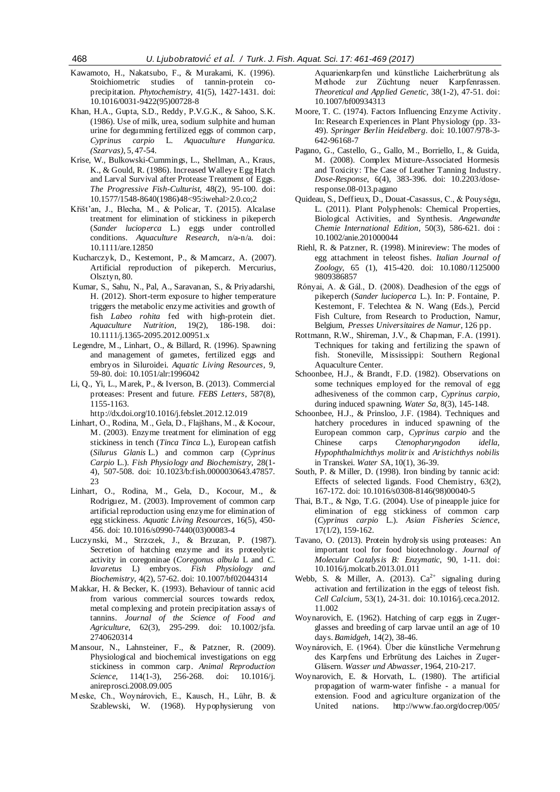- Kawamoto, H., Nakatsubo, F., & Murakami, K. (1996). Stoichiometric studies of tannin-protein coprecipitation. *Phytochemistry*, 41(5), 1427-1431. [doi:](http://dx.doi.org/10.1016/0031-9422(95)00728-8)  [10.1016/0031-9422\(95\)00728-8](http://dx.doi.org/10.1016/0031-9422(95)00728-8)
- Khan, H.A., Gupta, S.D., Reddy, P.V.G.K., & Sahoo, S.K. (1986). Use of milk, urea, sodium sulphite and human urine for degumming fertilized eggs of common carp, *Cyprinus carpio* L. *Aquaculture Hungarica. (Szarvas),* 5, 47-54.
- Krise, W., Bulkowski-Cummings, L., Shellman, A., Kraus, K., & Gould, R. (1986). Increased Walleye Egg Hatch and Larval Survival after Protease Treatment of Eggs. *The Progressive Fish-Culturist*, 48(2), 95-100. [doi:](http://dx.doi.org/10.1577/1548-8640(1986)48%3c95:iwehal%3e2.0.co;2)  [10.1577/1548-8640\(1986\)48<95:iwehal>2.0.co;2](http://dx.doi.org/10.1577/1548-8640(1986)48%3c95:iwehal%3e2.0.co;2)
- Křišt'an, J., Blecha, M., & Policar, T. (2015). Alcalase treatment for elimination of stickiness in pikeperch (*Sander lucioperca* L.) eggs under controlled conditions. *Aquaculture Research*, n/a-n/a. [doi:](http://dx.doi.org/10.1111/are.12850)  [10.1111/are.12850](http://dx.doi.org/10.1111/are.12850)
- Kucharczyk, D., Kestemont, P., & Mamcarz, A. (2007). Artificial reproduction of pikeperch. Mercurius, Olsztyn, 80.
- Kumar, S., Sahu, N., Pal, A., Saravanan, S., & Priyadarshi, H. (2012). Short-term exposure to higher temperature triggers the metabolic enzyme activities and growth of fish *Labeo rohita* fed with high-protein diet. *Aquaculture Nutrition*, 19(2), [10.1111/j.1365-2095.2012.00951.x](http://dx.doi.org/10.1111/j.1365-2095.2012.00951.x)
- Legendre, M., Linhart, O., & Billard, R. (1996). Spawning and management of gametes, fertilized eggs and embryos in Siluroidei. *Aquatic Living Resources*, 9, 59-80. [doi: 10.1051/alr:1996042](http://dx.doi.org/10.1051/alr:1996042)
- Li, Q., Yi, L., Marek, P., & Iverson, B. (2013). Commercial proteases: Present and future. *FEBS Letters*, 587(8), 1155-1163.

<http://dx.doi.org/10.1016/j.febslet.2012.12.019>

- Linhart, O., Rodina, M., Gela, D., Flajšhans, M., & Kocour, M. (2003). Enzyme treatment for elimination of egg stickiness in tench (*Tinca Tinca* L.), European catfish (*Silurus Glanis* L.) and common carp (*Cyprinus Carpio* L.). *Fish Physiology and Biochemistry*, 28(1- 4), 507-508. [doi: 10.1023/b:fish.0000030643.47857.](http://dx.doi.org/10.1023/b:fish.0000030643.47857.23) [23](http://dx.doi.org/10.1023/b:fish.0000030643.47857.23)
- Linhart, O., Rodina, M., Gela, D., Kocour, M., & Rodriguez, M. (2003). Improvement of common carp artificial reproduction using enzyme for elimination of egg stickiness. *Aquatic Living Resources*, 16(5), 450- 456. [doi: 10.1016/s0990-7440\(03\)00083-4](http://dx.doi.org/10.1016/s0990-7440(03)00083-4)
- Luczynski, M., Strzczek, J., & Brzuzan, P. (1987). Secretion of hatching enzyme and its proteolytic activity in coregoninae (*Coregonus albula* L and *C. lavaretus* L) embryos. *Fish Physiology and Biochemistry*, 4(2), 57-62. [doi: 10.1007/bf02044314](http://dx.doi.org/10.1007/bf02044314)
- Makkar, H. & Becker, K. (1993). Behaviour of tannic acid from various commercial sources towards redox, metal complexing and protein precipitation assays of tannins. *Journal of the Science of Food and Agriculture*, 62(3), 295-299. doi: 10.1002/jsfa. 2740620314
- Mansour, N., Lahnsteiner, F., & Patzner, R. (2009). Physiological and biochemical investigations on egg stickiness in common carp. *Animal Reproduction Science*, 114(1-3), 256-268. [doi: 10.1016/j.](http://dx.doi.org/10.1016/j.anireprosci.2008.09.005) [anireprosci.2008.09.005](http://dx.doi.org/10.1016/j.anireprosci.2008.09.005)
- Meske, Ch., Woynárovich, E., Kausch, H., Lühr, B. & Szablewski, W. (1968). Hypophysierung von

Aquarienkarpfen und künstliche Laicherbrütung als Methode zur Züchtung neuer Karpfenrassen. *Theoretical and Applied Genetic*, 38(1-2), 47-51. doi: 10.1007/bf00934313

- Moore, T. C. (1974). Factors Influencing Enzyme Activity. In: Research Experiences in Plant Physiology (pp. 33- 49). *Springer Berlin Heidelberg*. doi: 10.1007/978-3- 642-96168-7
- Pagano, G., Castello, G., Gallo, M., Borriello, I., & Guida, M. (2008). Complex Mixture-Associated Hormesis and Toxicity: The Case of Leather Tanning Industry. *Dose-Response*, 6(4), 383-396. [doi: 10.2203/dose](http://dx.doi.org/10.2203/dose-response.08-013.pagano)[response.08-013.pagano](http://dx.doi.org/10.2203/dose-response.08-013.pagano)
- Quideau, S., Deffieux, D., Douat-Casassus, C., & Pouységu, L. (2011). Plant Polyphenols: Chemical Properties, Biological Activities, and Synthesis. *Angewandte Chemie International Edition*, 50(3), 586-621. [doi](http://dx.doi.org/10.1002/anie.201000044) : [10.1002/anie.201000044](http://dx.doi.org/10.1002/anie.201000044)
- Riehl, R. & Patzner, R. (1998). Minireview: The modes of egg attachment in teleost fishes. *Italian Journal of Zoology*, 65 (1), 415-420. [doi: 10.1080/1125000](http://dx.doi.org/10.1080/11250009809386857) [9809386857](http://dx.doi.org/10.1080/11250009809386857)
- Rónyai, A. & Gál., D. (2008). Deadhesion of the eggs of pikeperch (*Sander lucioperca* L.). In: P. Fontaine, P. Kestemont, F. Telechtea & N. Wang (Eds.), Percid Fish Culture, from Research to Production, Namur, Belgium, *Presses Universitaires de Namur,* 126 pp.
- Rottmann, R.W., Shireman, J.V., & Chapman, F.A. (1991). Techniques for taking and fertilizing the spawn of fish. Stoneville, Mississippi: Southern Regional Aquaculture Center.
- Schoonbee, H.J., & Brandt, F.D. (1982). Observations on some techniques employed for the removal of egg adhesiveness of the common carp, *Cyprinus carpio*, during induced spawning. *Water Sa,* 8(3), 145-148.
- Schoonbee, H.J., & Prinsloo, J.F. (1984). Techniques and hatchery procedures in induced spawning of the European common carp, *Cyprinus carpio* and the Chinese carps *Ctenopharyngodon idella, Hypophthalmichthys molitrix* and *Aristichthys nobilis* in Transkei. *Water S*A, 10(1), 36-39.
- South, P. & Miller, D. (1998). Iron binding by tannic acid: Effects of selected ligands. Food Chemistry, 63(2), 167-172[. doi: 10.1016/s0308-8146\(98\)00040-5](http://dx.doi.org/10.1016/s0308-8146(98)00040-5)
- Thai, B.T., & Ngo, T.G. (2004). Use of pineapple juice for elimination of egg stickiness of common carp (*Cyprinus carpio* L.). *Asian Fisheries Science*, 17(1/2), 159-162.
- Tavano, O. (2013). Protein hydrolysis using proteases: An important tool for food biotechnology. *Journal of Molecular Catalysis B: Enzymatic*, 90, 1-11. [doi:](http://dx.doi.org/10.1016/j.molcatb.2013.01.011)  [10.1016/j.molcatb.2013.01.011](http://dx.doi.org/10.1016/j.molcatb.2013.01.011)
- Webb, S. & Miller, A. (2013).  $Ca^{2+}$  signaling during activation and fertilization in the eggs of teleost fish. *Cell Calcium*, 53(1), 24-31. [doi: 10.1016/j.ceca.2012.](http://dx.doi.org/10.1016/j.ceca.2012.11.002) [11.002](http://dx.doi.org/10.1016/j.ceca.2012.11.002)
- Woynarovich, E. (1962). Hatching of carp eggs in Zugerglasses and breeding of carp larvae until an age of 10 days. *Bamidgeh*, 14(2), 38-46.
- Woynárovich, E. (1964). Über die künstliche Vermehrung des Karpfens und Erbrütung des Laiches in Zuger-Gläsern. *Wasser und Abwasser*, 1964, 210-217.
- Woynarovich, E. & Horvath, L. (1980). The artificial propagation of warm-water finfishe - a manual for extension. Food and agriculture organization of the United nations. http://www.fao.org/docrep/005/